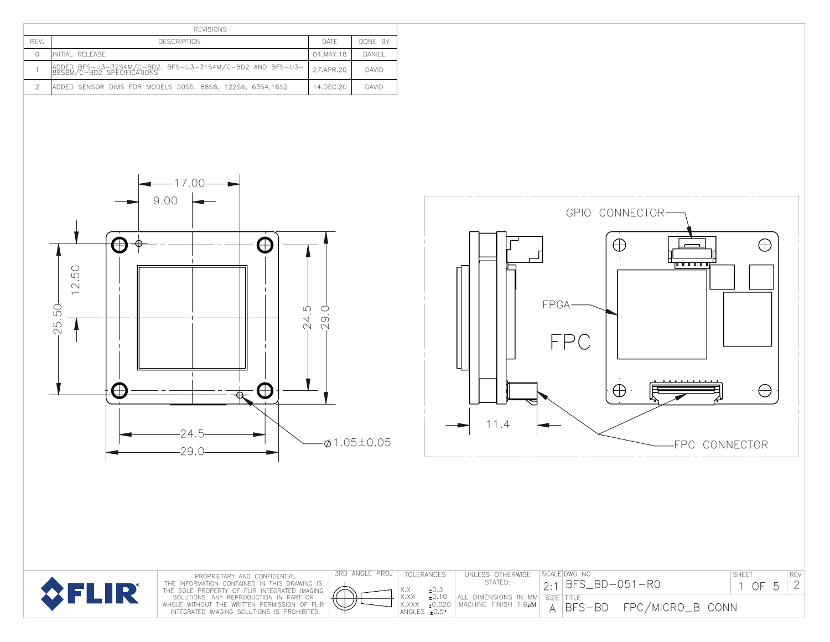|                | <b>REVISIONS</b>                                                                                                                                                                                                                              |                             |                                    |                                                                                                                                                                                                                                                              |
|----------------|-----------------------------------------------------------------------------------------------------------------------------------------------------------------------------------------------------------------------------------------------|-----------------------------|------------------------------------|--------------------------------------------------------------------------------------------------------------------------------------------------------------------------------------------------------------------------------------------------------------|
| REV.           | <b>DESCRIPTION</b>                                                                                                                                                                                                                            | DATE                        | DONE BY                            |                                                                                                                                                                                                                                                              |
| $\circ$        | INITIAL RELEASE                                                                                                                                                                                                                               | 04.MAY.18                   | DANIEL                             |                                                                                                                                                                                                                                                              |
| $\overline{1}$ | ADDED BFS-U3-32S4M/C-BD2, BFS-U3-31S4M/C-BD2 AND BFS-U3-88S6M/C-BD2 SPECIFICATIONS                                                                                                                                                            | 27.APR.20                   | DAVID                              |                                                                                                                                                                                                                                                              |
| $\overline{2}$ | ADDED SENSOR DIMS FOR MODELS 50S5, 88S6, 122S6, 63S4,16S2                                                                                                                                                                                     | 14.DEC.20                   | DAVID                              |                                                                                                                                                                                                                                                              |
|                | $-17.00-$<br>9.00<br>0<br>₩<br>-⊕<br>50<br>$\sim$<br>$\overline{\phantom{0}}$<br>SO.<br>$\mathfrak{U}$<br>$\sim$<br>$\bigoplus$<br>$^+$<br>$-24.5$<br>$-29.0$<br>PROPRIETARY AND CONFIDENTIAL<br>THE INFORMATION CONTAINED IN THIS DRAWING IS | Ю<br>$\frac{0}{9}$<br>$-24$ | $\phi$ 1.05±0.05<br>3RD ANGLE PROJ | GPIO CONNECTOR-<br>$\oplus$<br>$\oplus$<br>ו עיש עיש ע<br>FPGA-<br><b>FPC</b><br>$\oplus$<br>$\oplus$<br>11.4<br>FPC CONNECTOR<br>SCALE DWG NO<br>TOLERANCES<br>UNLESS OTHERWISE<br>SHEET<br>REV<br>STATED:<br>$2:1$ BFS_BD-051-R0<br>$\mathbf{2}$<br>1 OF 5 |
|                | <b>SFLIR</b><br>THE SOLE PROPERTY OF FLIR INTEGRATED IMAGING<br>SOLUTIONS. ANY REPRODUCTION IN PART OR<br>WHOLE WITHOUT THE WRITTEN PERMISSION OF FLIR<br>INTEGRATED IMAGING SOLUTIONS IS PROHIBITED.                                         |                             |                                    | ±0.3<br>X.X<br>X.XX +0.10<br>X.XXX +0.020<br>ANGLES +0.5<br>ALL DIMENSIONS IN MM SIZE TITLE<br>MACHINE FINISH 1.6µM<br>FPC/MICRO_B CONN<br>$A$ BFS-BD                                                                                                        |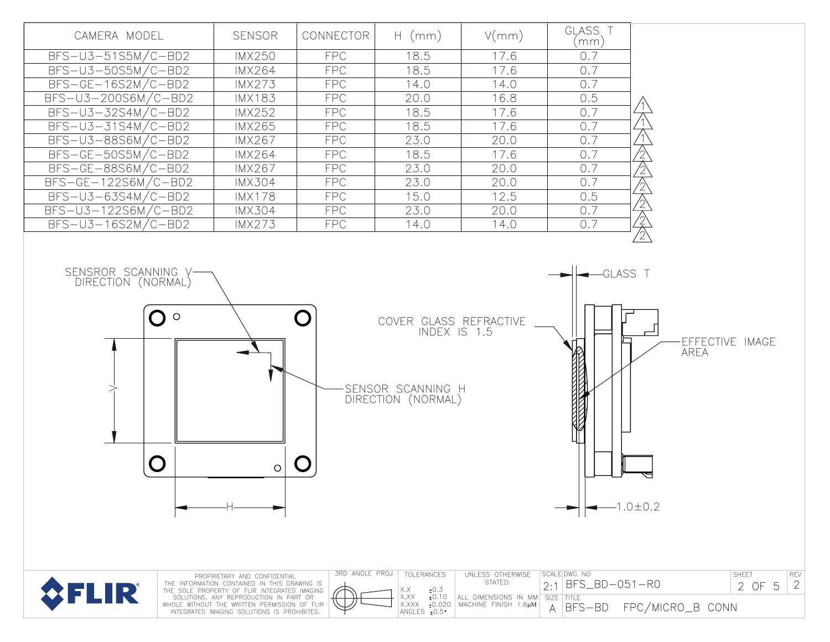| CAMERA MODEL                                                       | <b>SENSOR</b>                                                                                                                                                                                                                                                         | CONNECTOR      | $H$ (mm)                                                                          | V/mm)                                                                       | GLASS T<br>(mm)                                                        |                  |                                               |
|--------------------------------------------------------------------|-----------------------------------------------------------------------------------------------------------------------------------------------------------------------------------------------------------------------------------------------------------------------|----------------|-----------------------------------------------------------------------------------|-----------------------------------------------------------------------------|------------------------------------------------------------------------|------------------|-----------------------------------------------|
| $BFS-U3-51S5M/C-BD2$                                               | <b>IMX250</b>                                                                                                                                                                                                                                                         | <b>FPC</b>     | 18.5                                                                              | 17.6                                                                        | 0.7                                                                    |                  |                                               |
| $BFS-U3-50S5M/C-BD2$                                               | <b>IMX264</b>                                                                                                                                                                                                                                                         | <b>FPC</b>     | 18.5                                                                              | 17.6                                                                        | 0.7                                                                    |                  |                                               |
| $BFS-GE-16S2M/C-BD2$                                               | <b>IMX273</b>                                                                                                                                                                                                                                                         | <b>FPC</b>     | 14.0                                                                              | 14.0                                                                        | 0.7                                                                    |                  |                                               |
| BFS-U3-200S6M/C-BD2                                                | <b>IMX183</b>                                                                                                                                                                                                                                                         | <b>FPC</b>     | 20.0                                                                              | 16.8                                                                        | 0.5                                                                    |                  |                                               |
| $BFS-U3-32S4M/C-BD2$                                               | <b>IMX252</b>                                                                                                                                                                                                                                                         | <b>FPC</b>     | 18.5                                                                              | 17.6                                                                        | 0.7                                                                    |                  |                                               |
| $BFS-U3-31S4M/C-BD2$                                               | <b>IMX265</b>                                                                                                                                                                                                                                                         | <b>FPC</b>     | 18.5                                                                              | 17.6                                                                        | 0.7                                                                    |                  |                                               |
| BFS-U3-88S6M/C-BD2                                                 | <b>IMX267</b>                                                                                                                                                                                                                                                         | <b>FPC</b>     | 23.0                                                                              | 20.0                                                                        | 0.7                                                                    |                  |                                               |
| BFS-GE-50S5M/C-BD2                                                 | <b>IMX264</b>                                                                                                                                                                                                                                                         | <b>FPC</b>     | 18.5                                                                              | 17.6                                                                        | 0.7                                                                    | A<br>A<br>A      |                                               |
| BFS-GE-88S6M/C-BD2                                                 | <b>IMX267</b>                                                                                                                                                                                                                                                         | <b>FPC</b>     | 23.0                                                                              | 20.0                                                                        | 0.7                                                                    |                  |                                               |
| $BFS-GE-122S6M/C-BD2$                                              | <b>IMX304</b>                                                                                                                                                                                                                                                         | <b>FPC</b>     | 23.0                                                                              | 20.0                                                                        | 0.7                                                                    |                  |                                               |
| $BFS-U3-63S4M/C-BD2$                                               | <b>IMX178</b>                                                                                                                                                                                                                                                         | <b>FPC</b>     | 15.0                                                                              | 12.5                                                                        | 0.5                                                                    |                  |                                               |
| BFS-U3-122S6M/C-BD2                                                | <b>IMX304</b>                                                                                                                                                                                                                                                         | <b>FPC</b>     | 23.0                                                                              | 20.0                                                                        | 0.7                                                                    |                  |                                               |
| $BFS-U3-16S2M/C-BD2$                                               | <b>IMX273</b>                                                                                                                                                                                                                                                         | <b>FPC</b>     | 14.0                                                                              | 14.0                                                                        | 0.7                                                                    | 公公公公             |                                               |
| SENSROR SCANNING V-<br>DIRECTION (NORMAL)<br>$\bigcirc$ $\bigcirc$ | $\bigcirc$                                                                                                                                                                                                                                                            |                | COVER GLASS REFRACTIVE<br>INDEX IS 1.5<br>SENSOR SCANNING H<br>DIRECTION (NORMAL) |                                                                             | GLASS <sub>T</sub><br>$-1.0 \pm 0.2$                                   | <b>AREA</b>      | EFFECTIVE IMAGE                               |
| FLIR                                                               | PROPRIETARY AND CONFIDENTIAL<br>THE INFORMATION CONTAINED IN THIS DRAWING IS<br>THE SOLE PROPERTY OF FLIR INTEGRATED IMAGING<br>SOLUTIONS. ANY REPRODUCTION IN PART OR<br>WHOLE WITHOUT THE WRITTEN PERMISSION OF FLIR<br>INTEGRATED IMAGING SOLUTIONS IS PROHIBITED. | 3RD ANGLE PROJ | TOLERANCES<br>±0.3<br>X.X<br>X.XX<br>±0.10<br>±0.020<br>X.XXX<br>ANGLES +0.5°     | UNLESS OTHERWISE<br>STATED:<br>ALL DIMENSIONS IN MM<br>MACHINE FINISH 1.6µM | SCALE DWG NO<br>BFS_BD-051-R0<br>2:1<br>SIZE TITLE<br>$ BFS - BD$<br>А | FPC/MICRO_B CONN | <b>SHEET</b><br>REV<br>$\mathbf{2}$<br>2 OF 5 |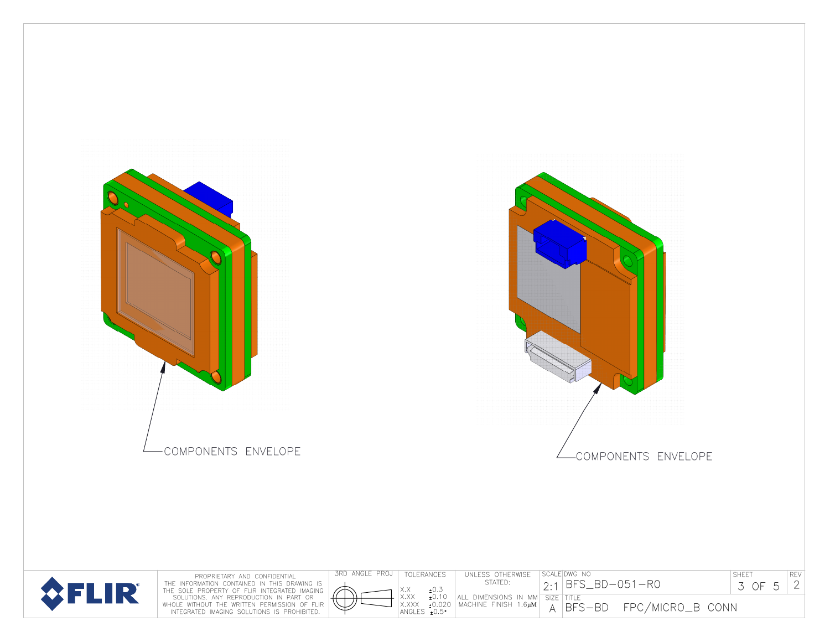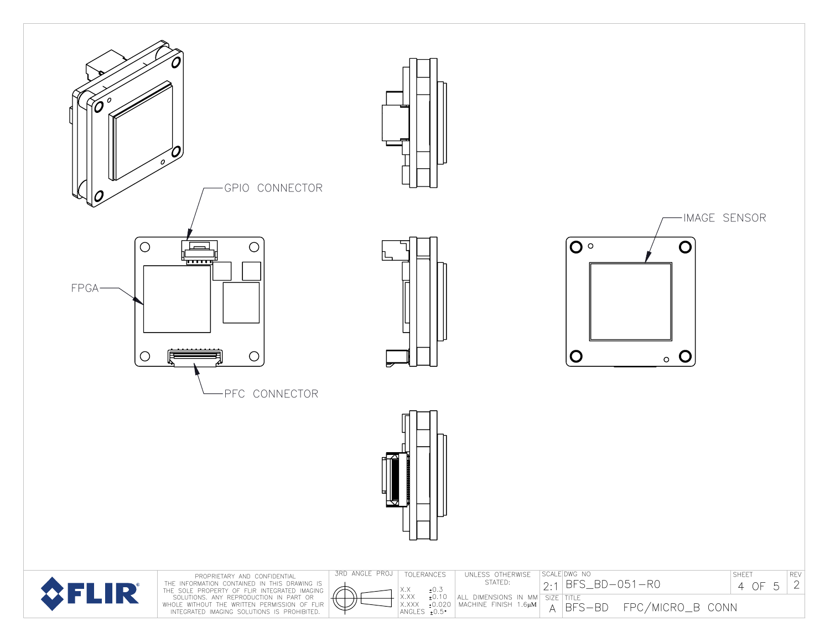